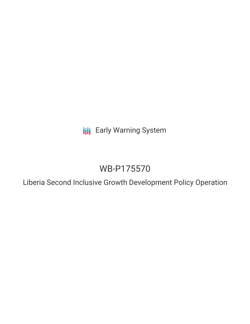**III** Early Warning System

# WB-P175570

Liberia Second Inclusive Growth Development Policy Operation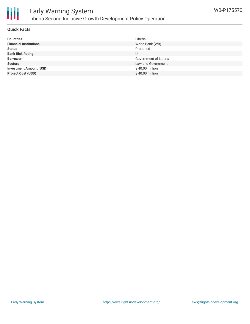

# Early Warning System Liberia Second Inclusive Growth Development Policy Operation

### **Quick Facts**

| <b>Countries</b>               | Liberia               |
|--------------------------------|-----------------------|
| <b>Financial Institutions</b>  | World Bank (WB)       |
| <b>Status</b>                  | Proposed              |
| <b>Bank Risk Rating</b>        | U                     |
| <b>Borrower</b>                | Government of Liberia |
| <b>Sectors</b>                 | Law and Government    |
| <b>Investment Amount (USD)</b> | \$40.00 million       |
| <b>Project Cost (USD)</b>      | \$40.00 million       |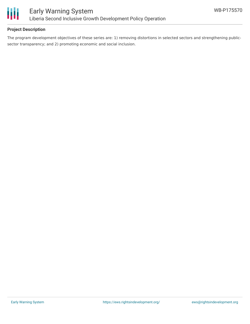

### **Project Description**

The program development objectives of these series are: 1) removing distortions in selected sectors and strengthening publicsector transparency; and 2) promoting economic and social inclusion.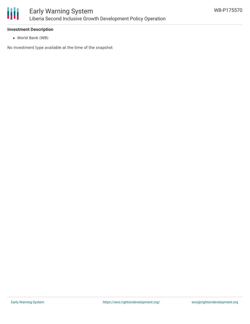

#### **Investment Description**

World Bank (WB)

No investment type available at the time of the snapshot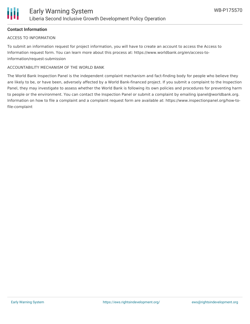### **Contact Information**

#### ACCESS TO INFORMATION

To submit an information request for project information, you will have to create an account to access the Access to Information request form. You can learn more about this process at: https://www.worldbank.org/en/access-toinformation/request-submission

#### ACCOUNTABILITY MECHANISM OF THE WORLD BANK

The World Bank Inspection Panel is the independent complaint mechanism and fact-finding body for people who believe they are likely to be, or have been, adversely affected by a World Bank-financed project. If you submit a complaint to the Inspection Panel, they may investigate to assess whether the World Bank is following its own policies and procedures for preventing harm to people or the environment. You can contact the Inspection Panel or submit a complaint by emailing ipanel@worldbank.org. Information on how to file a complaint and a complaint request form are available at: https://www.inspectionpanel.org/how-tofile-complaint